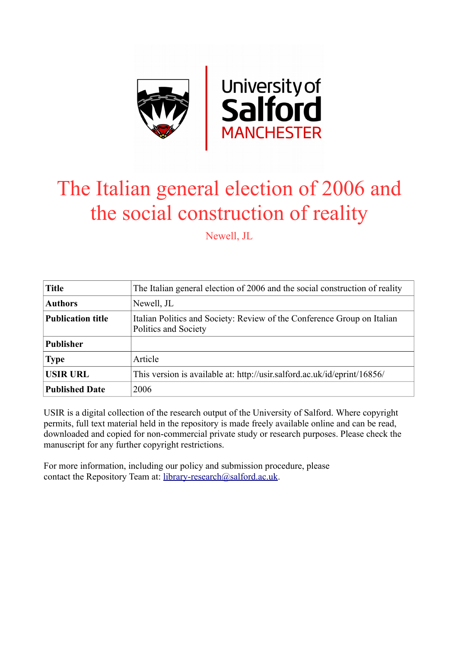

# The Italian general election of 2006 and the social construction of reality

Newell, JL

| <b>Title</b>             | The Italian general election of 2006 and the social construction of reality                     |
|--------------------------|-------------------------------------------------------------------------------------------------|
| <b>Authors</b>           | Newell, JL                                                                                      |
| <b>Publication title</b> | Italian Politics and Society: Review of the Conference Group on Italian<br>Politics and Society |
| <b>Publisher</b>         |                                                                                                 |
| <b>Type</b>              | Article                                                                                         |
| <b>USIR URL</b>          | This version is available at: http://usir.salford.ac.uk/id/eprint/16856/                        |
| <b>Published Date</b>    | 2006                                                                                            |

USIR is a digital collection of the research output of the University of Salford. Where copyright permits, full text material held in the repository is made freely available online and can be read, downloaded and copied for non-commercial private study or research purposes. Please check the manuscript for any further copyright restrictions.

For more information, including our policy and submission procedure, please contact the Repository Team at: [library-research@salford.ac.uk.](mailto:library-research@salford.ac.uk)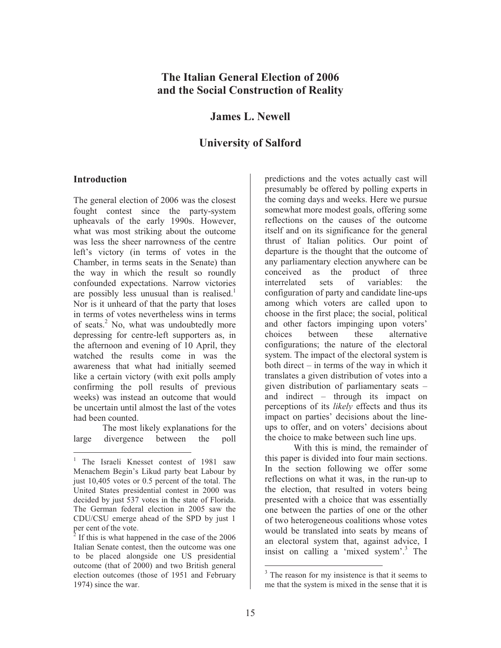# **The Italian General Election of 2006 and the Social Construction of Reality**

## **James L. Newell**

## **University of Salford**

#### **Introduction**

 $\overline{a}$ 

The general election of 2006 was the closest fought contest since the party-system upheavals of the early 1990s. However, what was most striking about the outcome was less the sheer narrowness of the centre left's victory (in terms of votes in the Chamber, in terms seats in the Senate) than the way in which the result so roundly confounded expectations. Narrow victories are possibly less unusual than is realised.<sup>1</sup> Nor is it unheard of that the party that loses in terms of votes nevertheless wins in terms of seats.<sup>2</sup> No, what was undoubtedly more depressing for centre-left supporters as, in the afternoon and evening of 10 April, they watched the results come in was the awareness that what had initially seemed like a certain victory (with exit polls amply confirming the poll results of previous weeks) was instead an outcome that would be uncertain until almost the last of the votes had been counted.

The most likely explanations for the large divergence between the poll

predictions and the votes actually cast will presumably be offered by polling experts in the coming days and weeks. Here we pursue somewhat more modest goals, offering some reflections on the causes of the outcome itself and on its significance for the general thrust of Italian politics. Our point of departure is the thought that the outcome of any parliamentary election anywhere can be conceived as the product of three interrelated sets of variables: the configuration of party and candidate line-ups among which voters are called upon to choose in the first place; the social, political and other factors impinging upon voters' choices between these alternative configurations; the nature of the electoral system. The impact of the electoral system is both direct – in terms of the way in which it translates a given distribution of votes into a given distribution of parliamentary seats – and indirect – through its impact on perceptions of its *likely* effects and thus its impact on parties' decisions about the lineups to offer, and on voters' decisions about the choice to make between such line ups.

With this is mind, the remainder of this paper is divided into four main sections. In the section following we offer some reflections on what it was, in the run-up to the election, that resulted in voters being presented with a choice that was essentially one between the parties of one or the other of two heterogeneous coalitions whose votes would be translated into seats by means of an electoral system that, against advice, I insist on calling a 'mixed system'.<sup>3</sup> The

<sup>&</sup>lt;sup>1</sup> The Israeli Knesset contest of 1981 saw Menachem Begin's Likud party beat Labour by just 10,405 votes or 0.5 percent of the total. The United States presidential contest in 2000 was decided by just 537 votes in the state of Florida. The German federal election in 2005 saw the CDU/CSU emerge ahead of the SPD by just 1 per cent of the vote.

 $2$  If this is what happened in the case of the 2006 Italian Senate contest, then the outcome was one to be placed alongside one US presidential outcome (that of 2000) and two British general election outcomes (those of 1951 and February 1974) since the war.

<sup>&</sup>lt;sup>3</sup> The reason for my insistence is that it seems to me that the system is mixed in the sense that it is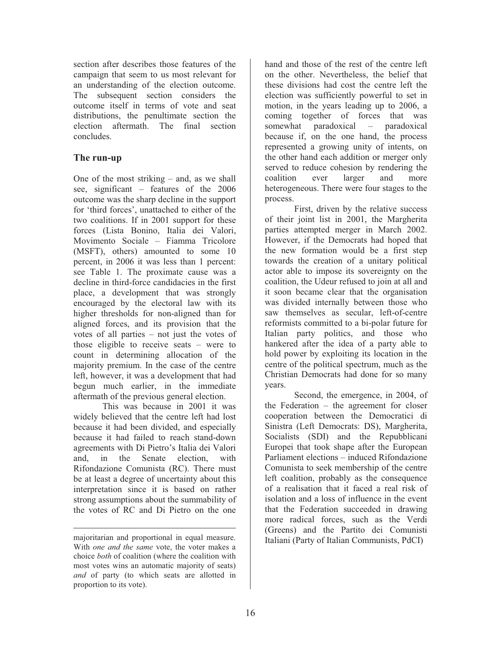section after describes those features of the campaign that seem to us most relevant for an understanding of the election outcome. The subsequent section considers the outcome itself in terms of vote and seat distributions, the penultimate section the election aftermath. The final section concludes.

## **The run-up**

One of the most striking – and, as we shall see, significant – features of the 2006 outcome was the sharp decline in the support for 'third forces', unattached to either of the two coalitions. If in 2001 support for these forces (Lista Bonino, Italia dei Valori, Movimento Sociale – Fiamma Tricolore (MSFT), others) amounted to some 10 percent, in 2006 it was less than 1 percent: see Table 1. The proximate cause was a decline in third-force candidacies in the first place, a development that was strongly encouraged by the electoral law with its higher thresholds for non-aligned than for aligned forces, and its provision that the votes of all parties – not just the votes of those eligible to receive seats – were to count in determining allocation of the majority premium. In the case of the centre left, however, it was a development that had begun much earlier, in the immediate aftermath of the previous general election.

This was because in 2001 it was widely believed that the centre left had lost because it had been divided, and especially because it had failed to reach stand-down agreements with Di Pietro's Italia dei Valori and, in the Senate election, with Rifondazione Comunista (RC). There must be at least a degree of uncertainty about this interpretation since it is based on rather strong assumptions about the summability of the votes of RC and Di Pietro on the one

 $\overline{a}$ 

hand and those of the rest of the centre left on the other. Nevertheless, the belief that these divisions had cost the centre left the election was sufficiently powerful to set in motion, in the years leading up to 2006, a coming together of forces that was somewhat paradoxical – paradoxical because if, on the one hand, the process represented a growing unity of intents, on the other hand each addition or merger only served to reduce cohesion by rendering the coalition ever larger and more heterogeneous. There were four stages to the process.

 First, driven by the relative success of their joint list in 2001, the Margherita parties attempted merger in March 2002. However, if the Democrats had hoped that the new formation would be a first step towards the creation of a unitary political actor able to impose its sovereignty on the coalition, the Udeur refused to join at all and it soon became clear that the organisation was divided internally between those who saw themselves as secular, left-of-centre reformists committed to a bi-polar future for Italian party politics, and those who hankered after the idea of a party able to hold power by exploiting its location in the centre of the political spectrum, much as the Christian Democrats had done for so many years.

Second, the emergence, in 2004, of the Federation – the agreement for closer cooperation between the Democratici di Sinistra (Left Democrats: DS), Margherita, Socialists (SDI) and the Repubblicani Europei that took shape after the European Parliament elections – induced Rifondazione Comunista to seek membership of the centre left coalition, probably as the consequence of a realisation that it faced a real risk of isolation and a loss of influence in the event that the Federation succeeded in drawing more radical forces, such as the Verdi (Greens) and the Partito dei Comunisti Italiani (Party of Italian Communists, PdCI)

majoritarian and proportional in equal measure. With *one and the same* vote, the voter makes a choice *both* of coalition (where the coalition with most votes wins an automatic majority of seats) *and* of party (to which seats are allotted in proportion to its vote).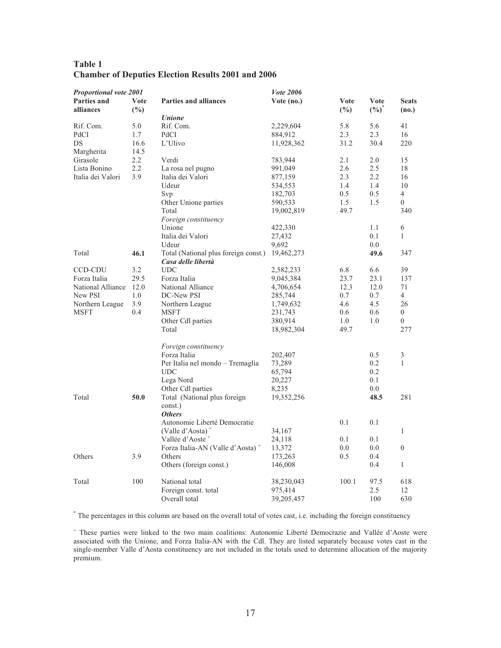| Table 1 |                                                           |  |  |  |
|---------|-----------------------------------------------------------|--|--|--|
|         | <b>Chamber of Deputies Election Results 2001 and 2006</b> |  |  |  |

| Proportional vote 2001 |         |                                              | <b>Vote 2006</b> |               |                   |                  |
|------------------------|---------|----------------------------------------------|------------------|---------------|-------------------|------------------|
| <b>Parties and</b>     | Vote    | <b>Parties and alliances</b>                 | Vote (no.)       | Vote          | Vote              | <b>Seats</b>     |
| alliances              | $(\%)$  |                                              |                  | $\frac{6}{2}$ | $(\frac{0}{0})^*$ | (no.)            |
|                        |         | <b><i>Unione</i></b>                         |                  |               |                   |                  |
| Rif. Com.              | 5.0     | Rif. Com.                                    | 2,229,604        | 5.8           | 5.6               | 41               |
| PdCI                   | 1.7     | PdCI                                         | 884,912          | 2.3           | 2.3               | 16               |
| DS                     | 16.6    | L'Ulivo                                      | 11,928,362       | 31.2          | 30.4              | 220              |
| Margherita             | 14.5    |                                              |                  |               |                   |                  |
| Girasole               | $2.2\,$ | Verdi                                        | 783,944          | 2.1           | 2.0               | 15               |
| Lista Bonino           | 2.2     | La rosa nel pugno                            | 991,049          | 2.6           | 2.5               | 18               |
| Italia dei Valori      | 3.9     | Italia dei Valori                            | 877,159          | 2.3           | 2.2               | 16               |
|                        |         | Udeur                                        | 534,553          | 1.4           | 1.4               | 10               |
|                        |         | Svp                                          | 182,703          | 0.5           | 0.5               | $\overline{4}$   |
|                        |         | Other Unione parties                         | 590,533          | 1.5           | 1.5               | $\overline{0}$   |
|                        |         | Total                                        | 19,002,819       | 49.7          |                   | 340              |
|                        |         | Foreign constituency                         |                  |               |                   |                  |
|                        |         | Unione                                       | 422,330          |               | 1.1               | 6                |
|                        |         | Italia dei Valori                            | 27,432           |               | 0.1               | $\mathbf{1}$     |
|                        |         | Udeur                                        | 9,692            |               | 0.0               |                  |
| Total                  | 46.1    | Total (National plus foreign const.)         | 19,462,273       |               | 49.6              | 347              |
|                        |         | Casa delle libertà                           |                  |               |                   |                  |
| <b>CCD-CDU</b>         | 3.2     | <b>UDC</b>                                   | 2,582,233        | 6.8           | 6.6               | 39               |
| Forza Italia           | 29.5    | Forza Italia                                 | 9,045,384        | 23.7          | 23.1              | 137              |
| National Alliance      | 12.0    | National Alliance                            | 4,706,654        | 12.3          | 12.0              | 71               |
| New PSI                | 1.0     | DC-New PSI                                   | 285,744          | 0.7           | 0.7               | $\overline{4}$   |
| Northern League        | 3.9     | Northern League                              | 1,749,632        | 4.6           | 4.5               | 26               |
| <b>MSFT</b>            | 0.4     | <b>MSFT</b>                                  | 231,743          | 0.6           | 0.6               | $\theta$         |
|                        |         | Other Cdl parties                            | 380,914          | 1.0           | 1.0               | $\boldsymbol{0}$ |
|                        |         | Total                                        | 18,982,304       | 49.7          |                   | 277              |
|                        |         |                                              |                  |               |                   |                  |
|                        |         | Foreign constituency                         |                  |               |                   |                  |
|                        |         | Forza Italia                                 | 202,407          |               | 0.5               | 3                |
|                        |         | Per Italia nel mondo – Tremaglia             | 73,289           |               | 0.2               | $\mathbf{1}$     |
|                        |         | <b>UDC</b>                                   | 65,794           |               | 0.2               |                  |
|                        |         | Lega Nord                                    | 20,227           |               | 0.1               |                  |
|                        |         | Other Cdl parties                            | 8,235            |               | 0.0               |                  |
| Total                  | 50.0    | Total (National plus foreign                 | 19,352,256       |               | 48.5              | 281              |
|                        |         | const.)                                      |                  |               |                   |                  |
|                        |         | <b>Others</b>                                |                  |               |                   |                  |
|                        |         | Autonomie Liberté Democratie                 |                  | 0.1           | 0.1               |                  |
|                        |         | (Valle d'Aosta) <sup>+</sup>                 | 34,167           |               |                   | $\mathbf{1}$     |
|                        |         | Vallée d'Aoste <sup>+</sup>                  | 24,118           | 0.1           | 0.1               |                  |
|                        |         | Forza Italia-AN (Valle d'Aosta) <sup>+</sup> | 13,372           | 0.0           | 0.0               | $\theta$         |
| Others                 | 3.9     | Others                                       | 173,263          | 0.5           | 0.4               |                  |
|                        |         | Others (foreign const.)                      | 146,008          |               | 0.4               | $\mathbf{1}$     |
| Total                  | 100     | National total                               | 38,230,043       | 100.1         | 97.5              | 618              |
|                        |         | Foreign const. total                         | 975,414          |               | 2.5               | 12               |
|                        |         | Overall total                                | 39,205,457       |               | 100               | 630              |

\* The percentages in this column are based on the overall total of votes cast, i.e. including the foreign constituency

+ These parties were linked to the two main coalitions: Autonomie Liberté Democrazie and Vallée d'Aoste were associated with the Unione, and Forza Italia-AN with the Cdl. They are listed separately because votes cast in the single-member Valle d'Aosta constituency are not included in the totals used to determine allocation of the majority premium.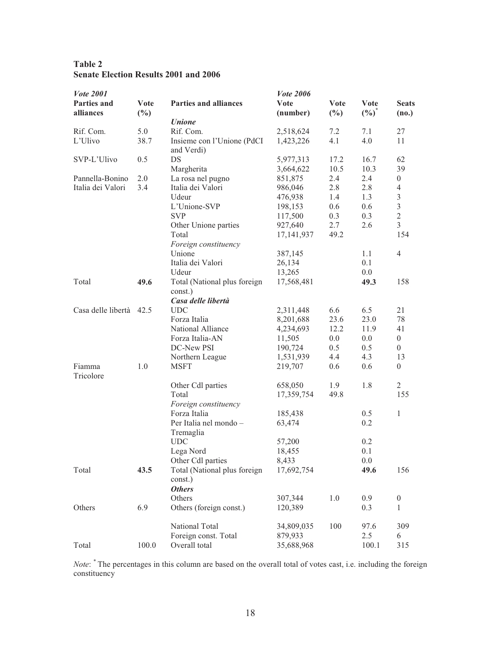| Table 2                                      |  |  |
|----------------------------------------------|--|--|
| <b>Senate Election Results 2001 and 2006</b> |  |  |

| <b>Vote 2001</b>        |             |                                          | <b>Vote 2006</b> |             |             |                  |
|-------------------------|-------------|------------------------------------------|------------------|-------------|-------------|------------------|
| Parties and             | <b>Vote</b> | <b>Parties and alliances</b>             | <b>Vote</b>      | <b>Vote</b> | <b>Vote</b> | <b>Seats</b>     |
| alliances               | $(\%)$      |                                          | (number)         | $(\%)$      | $(\%)^*$    | (no.)            |
|                         |             | <b>Unione</b>                            |                  |             |             |                  |
| Rif. Com.               | 5.0         | Rif. Com.                                | 2,518,624        | 7.2         | 7.1         | 27               |
| L'Ulivo                 | 38.7        | Insieme con l'Unione (PdCI<br>and Verdi) | 1,423,226        | 4.1         | 4.0         | 11               |
| SVP-L'Ulivo             | 0.5         | DS                                       | 5,977,313        | 17.2        | 16.7        | 62               |
|                         |             | Margherita                               | 3,664,622        | 10.5        | 10.3        | 39               |
| Pannella-Bonino         | 2.0         | La rosa nel pugno                        | 851,875          | 2.4         | 2.4         | $\overline{0}$   |
| Italia dei Valori       | 3.4         | Italia dei Valori                        | 986,046          | 2.8         | 2.8         | 4                |
|                         |             | Udeur                                    | 476,938          | 1.4         | 1.3         | 3                |
|                         |             | L'Unione-SVP                             | 198,153          | 0.6         | 0.6         | 3                |
|                         |             | <b>SVP</b>                               | 117,500          | 0.3         | 0.3         | $\overline{2}$   |
|                         |             | Other Unione parties                     | 927,640          | 2.7         | 2.6         | $\overline{3}$   |
|                         |             | Total<br>Foreign constituency            | 17, 141, 937     | 49.2        |             | 154              |
|                         |             | Unione                                   | 387,145          |             | 1.1         | $\overline{4}$   |
|                         |             | Italia dei Valori                        | 26,134           |             | 0.1         |                  |
|                         |             | Udeur                                    | 13,265           |             | 0.0         |                  |
| Total                   | 49.6        | Total (National plus foreign             | 17,568,481       |             | 49.3        | 158              |
|                         |             | const.)                                  |                  |             |             |                  |
|                         |             | Casa delle libertà                       |                  |             |             |                  |
| Casa delle libertà 42.5 |             | <b>UDC</b>                               | 2,311,448        | 6.6         | 6.5         | 21               |
|                         |             | Forza Italia                             | 8,201,688        | 23.6        | 23.0        | 78               |
|                         |             | National Alliance                        | 4,234,693        | 12.2        | 11.9        | 41               |
|                         |             | Forza Italia-AN                          | 11,505           | 0.0         | 0.0         | $\boldsymbol{0}$ |
|                         |             | DC-New PSI                               | 190,724          | 0.5         | 0.5         | $\overline{0}$   |
|                         |             | Northern League                          | 1,531,939        | 4.4         | 4.3         | 13               |
| Fiamma<br>Tricolore     | 1.0         | <b>MSFT</b>                              | 219,707          | 0.6         | 0.6         | $\overline{0}$   |
|                         |             | Other Cdl parties                        | 658,050          | 1.9         | 1.8         | $\overline{2}$   |
|                         |             | Total                                    | 17,359,754       | 49.8        |             | 155              |
|                         |             | Foreign constituency                     |                  |             |             |                  |
|                         |             | Forza Italia                             | 185,438          |             | 0.5         | 1                |
|                         |             | Per Italia nel mondo -<br>Tremaglia      | 63,474           |             | 0.2         |                  |
|                         |             | UDC                                      | 57,200           |             | 0.2         |                  |
|                         |             | Lega Nord                                | 18,455           |             | 0.1         |                  |
|                         |             | Other Cdl parties                        | 8,433            |             | 0.0         |                  |
| Total                   | 43.5        | Total (National plus foreign<br>const.)  | 17,692,754       |             | 49.6        | 156              |
|                         |             | <b>Others</b>                            |                  |             |             |                  |
|                         |             | Others                                   | 307,344          | 1.0         | 0.9         | $\boldsymbol{0}$ |
| Others                  | 6.9         | Others (foreign const.)                  | 120,389          |             | 0.3         | 1                |
|                         |             | National Total                           | 34,809,035       | 100         | 97.6        | 309              |
|                         |             | Foreign const. Total                     | 879,933          |             | 2.5         | 6                |
| Total                   | 100.0       | Overall total                            | 35,688,968       |             | 100.1       | 315              |
|                         |             |                                          |                  |             |             |                  |

*Note*: \* The percentages in this column are based on the overall total of votes cast, i.e. including the foreign constituency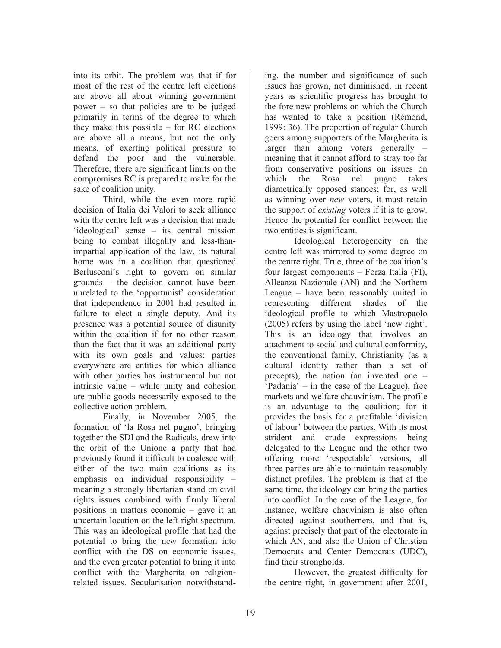into its orbit. The problem was that if for most of the rest of the centre left elections are above all about winning government power – so that policies are to be judged primarily in terms of the degree to which they make this possible – for RC elections are above all a means, but not the only means, of exerting political pressure to defend the poor and the vulnerable. Therefore, there are significant limits on the compromises RC is prepared to make for the sake of coalition unity.

 Third, while the even more rapid decision of Italia dei Valori to seek alliance with the centre left was a decision that made 'ideological' sense – its central mission being to combat illegality and less-thanimpartial application of the law, its natural home was in a coalition that questioned Berlusconi's right to govern on similar grounds – the decision cannot have been unrelated to the 'opportunist' consideration that independence in 2001 had resulted in failure to elect a single deputy. And its presence was a potential source of disunity within the coalition if for no other reason than the fact that it was an additional party with its own goals and values: parties everywhere are entities for which alliance with other parties has instrumental but not intrinsic value – while unity and cohesion are public goods necessarily exposed to the collective action problem.

 Finally, in November 2005, the formation of 'la Rosa nel pugno', bringing together the SDI and the Radicals, drew into the orbit of the Unione a party that had previously found it difficult to coalesce with either of the two main coalitions as its emphasis on individual responsibility – meaning a strongly libertarian stand on civil rights issues combined with firmly liberal positions in matters economic – gave it an uncertain location on the left-right spectrum. This was an ideological profile that had the potential to bring the new formation into conflict with the DS on economic issues, and the even greater potential to bring it into conflict with the Margherita on religionrelated issues. Secularisation notwithstand-

ing, the number and significance of such issues has grown, not diminished, in recent years as scientific progress has brought to the fore new problems on which the Church has wanted to take a position (Rémond, 1999: 36). The proportion of regular Church goers among supporters of the Margherita is larger than among voters generally – meaning that it cannot afford to stray too far from conservative positions on issues on which the Rosa nel pugno takes diametrically opposed stances; for, as well as winning over *new* voters, it must retain the support of *existing* voters if it is to grow. Hence the potential for conflict between the two entities is significant.

 Ideological heterogeneity on the centre left was mirrored to some degree on the centre right. True, three of the coalition's four largest components – Forza Italia (FI), Alleanza Nazionale (AN) and the Northern League – have been reasonably united in representing different shades of the ideological profile to which Mastropaolo (2005) refers by using the label 'new right'. This is an ideology that involves an attachment to social and cultural conformity, the conventional family, Christianity (as a cultural identity rather than a set of precepts), the nation (an invented one – 'Padania' – in the case of the League), free markets and welfare chauvinism. The profile is an advantage to the coalition; for it provides the basis for a profitable 'division of labour' between the parties. With its most strident and crude expressions being delegated to the League and the other two offering more 'respectable' versions, all three parties are able to maintain reasonably distinct profiles. The problem is that at the same time, the ideology can bring the parties into conflict. In the case of the League, for instance, welfare chauvinism is also often directed against southerners, and that is, against precisely that part of the electorate in which AN, and also the Union of Christian Democrats and Center Democrats (UDC), find their strongholds.

 However, the greatest difficulty for the centre right, in government after 2001,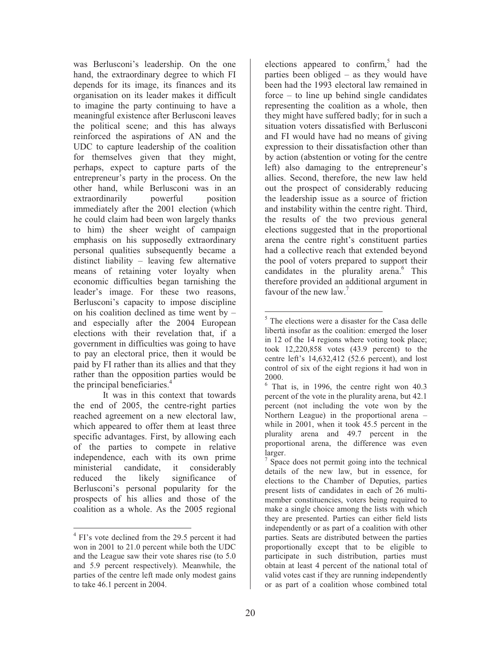was Berlusconi's leadership. On the one hand, the extraordinary degree to which FI depends for its image, its finances and its organisation on its leader makes it difficult to imagine the party continuing to have a meaningful existence after Berlusconi leaves the political scene; and this has always reinforced the aspirations of AN and the UDC to capture leadership of the coalition for themselves given that they might, perhaps, expect to capture parts of the entrepreneur's party in the process. On the other hand, while Berlusconi was in an extraordinarily powerful position immediately after the 2001 election (which he could claim had been won largely thanks to him) the sheer weight of campaign emphasis on his supposedly extraordinary personal qualities subsequently became a distinct liability – leaving few alternative means of retaining voter loyalty when economic difficulties began tarnishing the leader's image. For these two reasons, Berlusconi's capacity to impose discipline on his coalition declined as time went by – and especially after the 2004 European elections with their revelation that, if a government in difficulties was going to have to pay an electoral price, then it would be paid by FI rather than its allies and that they rather than the opposition parties would be the principal beneficiaries.<sup>4</sup>

 It was in this context that towards the end of 2005, the centre-right parties reached agreement on a new electoral law, which appeared to offer them at least three specific advantages. First, by allowing each of the parties to compete in relative independence, each with its own prime ministerial candidate, it considerably reduced the likely significance of Berlusconi's personal popularity for the prospects of his allies and those of the coalition as a whole. As the 2005 regional

elections appeared to confirm, $5$  had the parties been obliged – as they would have been had the 1993 electoral law remained in force – to line up behind single candidates representing the coalition as a whole, then they might have suffered badly; for in such a situation voters dissatisfied with Berlusconi and FI would have had no means of giving expression to their dissatisfaction other than by action (abstention or voting for the centre left) also damaging to the entrepreneur's allies. Second, therefore, the new law held out the prospect of considerably reducing the leadership issue as a source of friction and instability within the centre right. Third, the results of the two previous general elections suggested that in the proportional arena the centre right's constituent parties had a collective reach that extended beyond the pool of voters prepared to support their candidates in the plurality arena.<sup>6</sup> This therefore provided an additional argument in favour of the new law.<sup>7</sup>

 $\overline{a}$ <sup>4</sup> FI's vote declined from the 29.5 percent it had won in 2001 to 21.0 percent while both the UDC and the League saw their vote shares rise (to 5.0 and 5.9 percent respectively). Meanwhile, the parties of the centre left made only modest gains to take 46.1 percent in 2004.

 $\overline{a}$ <sup>5</sup> The elections were a disaster for the Casa delle libertà insofar as the coalition: emerged the loser in 12 of the 14 regions where voting took place; took 12,220,858 votes (43.9 percent) to the centre left's 14,632,412 (52.6 percent), and lost control of six of the eight regions it had won in 2000.

<sup>6</sup> That is, in 1996, the centre right won 40.3 percent of the vote in the plurality arena, but 42.1 percent (not including the vote won by the Northern League) in the proportional arena – while in 2001, when it took 45.5 percent in the plurality arena and 49.7 percent in the proportional arena, the difference was even larger.

<sup>&</sup>lt;sup>7</sup> Space does not permit going into the technical details of the new law, but in essence, for elections to the Chamber of Deputies, parties present lists of candidates in each of 26 multimember constituencies, voters being required to make a single choice among the lists with which they are presented. Parties can either field lists independently or as part of a coalition with other parties. Seats are distributed between the parties proportionally except that to be eligible to participate in such distribution, parties must obtain at least 4 percent of the national total of valid votes cast if they are running independently or as part of a coalition whose combined total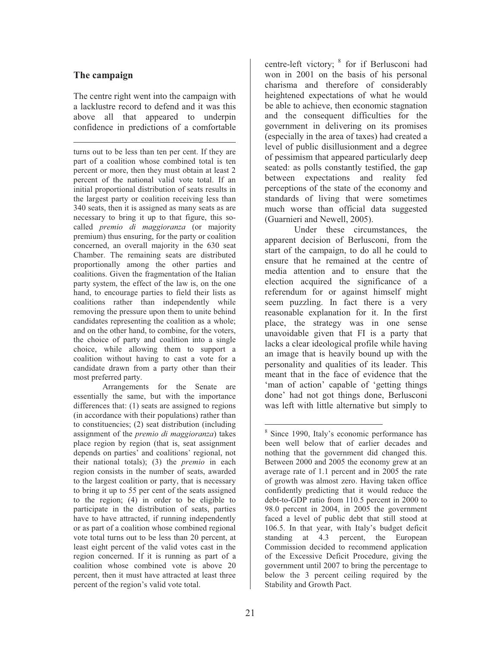### **The campaign**

The centre right went into the campaign with a lacklustre record to defend and it was this above all that appeared to underpin confidence in predictions of a comfortable

 $\overline{a}$ turns out to be less than ten per cent. If they are part of a coalition whose combined total is ten percent or more, then they must obtain at least 2 percent of the national valid vote total. If an initial proportional distribution of seats results in the largest party or coalition receiving less than 340 seats, then it is assigned as many seats as are necessary to bring it up to that figure, this socalled *premio di maggioranza* (or majority premium) thus ensuring, for the party or coalition concerned, an overall majority in the 630 seat Chamber. The remaining seats are distributed proportionally among the other parties and coalitions. Given the fragmentation of the Italian party system, the effect of the law is, on the one hand, to encourage parties to field their lists as coalitions rather than independently while removing the pressure upon them to unite behind candidates representing the coalition as a whole; and on the other hand, to combine, for the voters, the choice of party and coalition into a single choice, while allowing them to support a coalition without having to cast a vote for a candidate drawn from a party other than their most preferred party.

Arrangements for the Senate are essentially the same, but with the importance differences that: (1) seats are assigned to regions (in accordance with their populations) rather than to constituencies; (2) seat distribution (including assignment of the *premio di maggioranza*) takes place region by region (that is, seat assignment depends on parties' and coalitions' regional, not their national totals); (3) the *premio* in each region consists in the number of seats, awarded to the largest coalition or party, that is necessary to bring it up to 55 per cent of the seats assigned to the region; (4) in order to be eligible to participate in the distribution of seats, parties have to have attracted, if running independently or as part of a coalition whose combined regional vote total turns out to be less than 20 percent, at least eight percent of the valid votes cast in the region concerned. If it is running as part of a coalition whose combined vote is above 20 percent, then it must have attracted at least three percent of the region's valid vote total.

centre-left victory; <sup>8</sup> for if Berlusconi had won in 2001 on the basis of his personal charisma and therefore of considerably heightened expectations of what he would be able to achieve, then economic stagnation and the consequent difficulties for the government in delivering on its promises (especially in the area of taxes) had created a level of public disillusionment and a degree of pessimism that appeared particularly deep seated: as polls constantly testified, the gap between expectations and reality fed perceptions of the state of the economy and standards of living that were sometimes much worse than official data suggested (Guarnieri and Newell, 2005).

 Under these circumstances, the apparent decision of Berlusconi, from the start of the campaign, to do all he could to ensure that he remained at the centre of media attention and to ensure that the election acquired the significance of a referendum for or against himself might seem puzzling. In fact there is a very reasonable explanation for it. In the first place, the strategy was in one sense unavoidable given that FI is a party that lacks a clear ideological profile while having an image that is heavily bound up with the personality and qualities of its leader. This meant that in the face of evidence that the 'man of action' capable of 'getting things done' had not got things done, Berlusconi was left with little alternative but simply to

 $\overline{a}$ 

<sup>8</sup> Since 1990, Italy's economic performance has been well below that of earlier decades and nothing that the government did changed this. Between 2000 and 2005 the economy grew at an average rate of 1.1 percent and in 2005 the rate of growth was almost zero. Having taken office confidently predicting that it would reduce the debt-to-GDP ratio from 110.5 percent in 2000 to 98.0 percent in 2004, in 2005 the government faced a level of public debt that still stood at 106.5. In that year, with Italy's budget deficit standing at 4.3 percent, the European Commission decided to recommend application of the Excessive Deficit Procedure, giving the government until 2007 to bring the percentage to below the 3 percent ceiling required by the Stability and Growth Pact.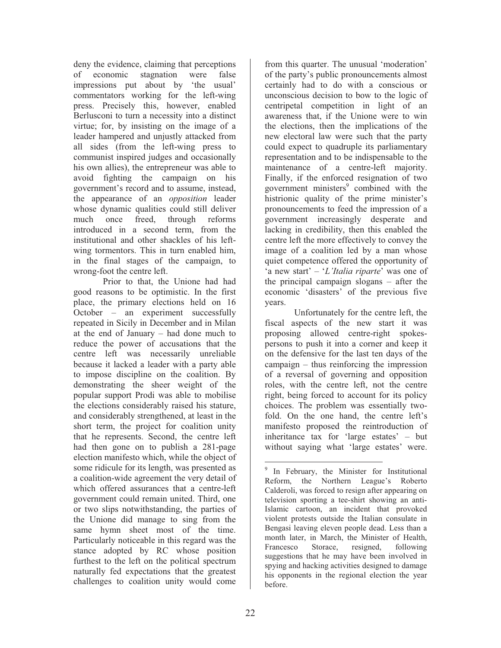deny the evidence, claiming that perceptions of economic stagnation were false impressions put about by 'the usual' commentators working for the left-wing press. Precisely this, however, enabled Berlusconi to turn a necessity into a distinct virtue; for, by insisting on the image of a leader hampered and unjustly attacked from all sides (from the left-wing press to communist inspired judges and occasionally his own allies), the entrepreneur was able to avoid fighting the campaign on his government's record and to assume, instead, the appearance of an *opposition* leader whose dynamic qualities could still deliver much once freed, through reforms introduced in a second term, from the institutional and other shackles of his leftwing tormentors. This in turn enabled him, in the final stages of the campaign, to wrong-foot the centre left.

 Prior to that, the Unione had had good reasons to be optimistic. In the first place, the primary elections held on 16 October – an experiment successfully repeated in Sicily in December and in Milan at the end of January – had done much to reduce the power of accusations that the centre left was necessarily unreliable because it lacked a leader with a party able to impose discipline on the coalition. By demonstrating the sheer weight of the popular support Prodi was able to mobilise the elections considerably raised his stature, and considerably strengthened, at least in the short term, the project for coalition unity that he represents. Second, the centre left had then gone on to publish a 281-page election manifesto which, while the object of some ridicule for its length, was presented as a coalition-wide agreement the very detail of which offered assurances that a centre-left government could remain united. Third, one or two slips notwithstanding, the parties of the Unione did manage to sing from the same hymn sheet most of the time. Particularly noticeable in this regard was the stance adopted by RC whose position furthest to the left on the political spectrum naturally fed expectations that the greatest challenges to coalition unity would come

from this quarter. The unusual 'moderation' of the party's public pronouncements almost certainly had to do with a conscious or unconscious decision to bow to the logic of centripetal competition in light of an awareness that, if the Unione were to win the elections, then the implications of the new electoral law were such that the party could expect to quadruple its parliamentary representation and to be indispensable to the maintenance of a centre-left majority. Finally, if the enforced resignation of two government ministers<sup>9</sup> combined with the histrionic quality of the prime minister's pronouncements to feed the impression of a government increasingly desperate and lacking in credibility, then this enabled the centre left the more effectively to convey the image of a coalition led by a man whose quiet competence offered the opportunity of 'a new start' – '*L'Italia riparte*' was one of the principal campaign slogans – after the economic 'disasters' of the previous five years.

 Unfortunately for the centre left, the fiscal aspects of the new start it was proposing allowed centre-right spokespersons to push it into a corner and keep it on the defensive for the last ten days of the campaign – thus reinforcing the impression of a reversal of governing and opposition roles, with the centre left, not the centre right, being forced to account for its policy choices. The problem was essentially twofold. On the one hand, the centre left's manifesto proposed the reintroduction of inheritance tax for 'large estates' – but without saying what 'large estates' were.

 $\overline{a}$ 9 In February, the Minister for Institutional Reform, the Northern League's Roberto Calderoli, was forced to resign after appearing on television sporting a tee-shirt showing an anti-Islamic cartoon, an incident that provoked violent protests outside the Italian consulate in Bengasi leaving eleven people dead. Less than a month later, in March, the Minister of Health, Francesco Storace, resigned, following suggestions that he may have been involved in spying and hacking activities designed to damage his opponents in the regional election the year before.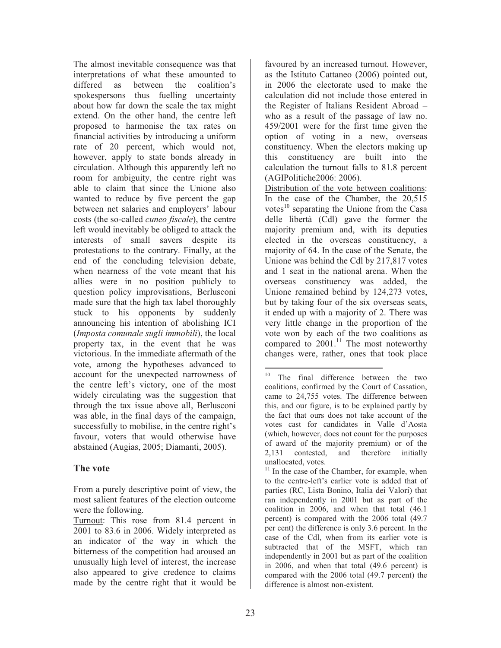The almost inevitable consequence was that interpretations of what these amounted to differed as between the coalition's spokespersons thus fuelling uncertainty about how far down the scale the tax might extend. On the other hand, the centre left proposed to harmonise the tax rates on financial activities by introducing a uniform rate of 20 percent, which would not, however, apply to state bonds already in circulation. Although this apparently left no room for ambiguity, the centre right was able to claim that since the Unione also wanted to reduce by five percent the gap between net salaries and employers' labour costs (the so-called *cuneo fiscale*), the centre left would inevitably be obliged to attack the interests of small savers despite its protestations to the contrary. Finally, at the end of the concluding television debate, when nearness of the vote meant that his allies were in no position publicly to question policy improvisations, Berlusconi made sure that the high tax label thoroughly stuck to his opponents by suddenly announcing his intention of abolishing ICI (*Imposta comunale sugli immobili*), the local property tax, in the event that he was victorious. In the immediate aftermath of the vote, among the hypotheses advanced to account for the unexpected narrowness of the centre left's victory, one of the most widely circulating was the suggestion that through the tax issue above all, Berlusconi was able, in the final days of the campaign, successfully to mobilise, in the centre right's favour, voters that would otherwise have abstained (Augias, 2005; Diamanti, 2005).

## **The vote**

favoured by an increased turnout. However, as the Istituto Cattaneo (2006) pointed out, in 2006 the electorate used to make the calculation did not include those entered in the Register of Italians Resident Abroad – who as a result of the passage of law no. 459/2001 were for the first time given the option of voting in a new, overseas constituency. When the electors making up this constituency are built into the calculation the turnout falls to 81.8 percent (AGIPolitiche2006: 2006).

Distribution of the vote between coalitions: In the case of the Chamber, the 20,515 votes<sup>10</sup> separating the Unione from the Casa delle libertà (Cdl) gave the former the majority premium and, with its deputies elected in the overseas constituency, a majority of 64. In the case of the Senate, the Unione was behind the Cdl by 217,817 votes and 1 seat in the national arena. When the overseas constituency was added, the Unione remained behind by 124,273 votes, but by taking four of the six overseas seats, it ended up with a majority of 2. There was very little change in the proportion of the vote won by each of the two coalitions as compared to  $2001$ .<sup>11</sup> The most noteworthy changes were, rather, ones that took place

 $11$  In the case of the Chamber, for example, when to the centre-left's earlier vote is added that of parties (RC, Lista Bonino, Italia dei Valori) that ran independently in 2001 but as part of the coalition in 2006, and when that total (46.1 percent) is compared with the 2006 total (49.7 per cent) the difference is only 3.6 percent. In the case of the Cdl, when from its earlier vote is subtracted that of the MSFT, which ran independently in 2001 but as part of the coalition in 2006, and when that total (49.6 percent) is compared with the 2006 total (49.7 percent) the difference is almost non-existent.

From a purely descriptive point of view, the most salient features of the election outcome were the following.

Turnout: This rose from 81.4 percent in 2001 to 83.6 in 2006. Widely interpreted as an indicator of the way in which the bitterness of the competition had aroused an unusually high level of interest, the increase also appeared to give credence to claims made by the centre right that it would be

 $10<sup>1</sup>$ The final difference between the two coalitions, confirmed by the Court of Cassation, came to 24,755 votes. The difference between this, and our figure, is to be explained partly by the fact that ours does not take account of the votes cast for candidates in Valle d'Aosta (which, however, does not count for the purposes of award of the majority premium) or of the 2,131 contested, and therefore initially unallocated, votes.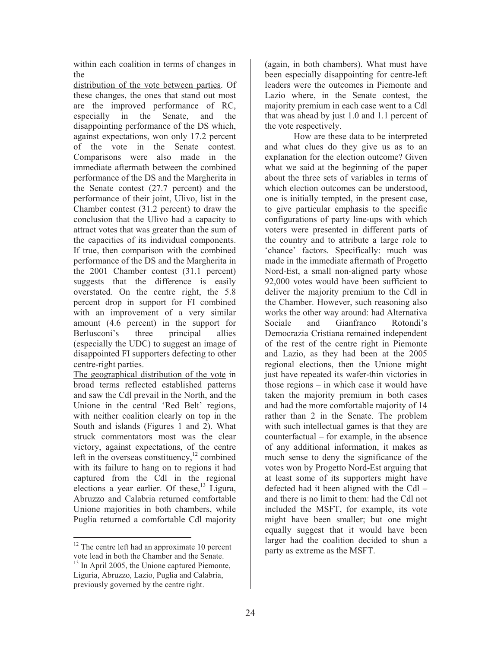within each coalition in terms of changes in the

distribution of the vote between parties. Of these changes, the ones that stand out most are the improved performance of RC, especially in the Senate, and the disappointing performance of the DS which, against expectations, won only 17.2 percent of the vote in the Senate contest. Comparisons were also made in the immediate aftermath between the combined performance of the DS and the Margherita in the Senate contest (27.7 percent) and the performance of their joint, Ulivo, list in the Chamber contest (31.2 percent) to draw the conclusion that the Ulivo had a capacity to attract votes that was greater than the sum of the capacities of its individual components. If true, then comparison with the combined performance of the DS and the Margherita in the 2001 Chamber contest (31.1 percent) suggests that the difference is easily overstated. On the centre right, the 5.8 percent drop in support for FI combined with an improvement of a very similar amount (4.6 percent) in the support for Berlusconi's three principal allies (especially the UDC) to suggest an image of disappointed FI supporters defecting to other centre-right parties.

The geographical distribution of the vote in broad terms reflected established patterns and saw the Cdl prevail in the North, and the Unione in the central 'Red Belt' regions, with neither coalition clearly on top in the South and islands (Figures 1 and 2). What struck commentators most was the clear victory, against expectations, of the centre left in the overseas constituency, $12$  combined with its failure to hang on to regions it had captured from the Cdl in the regional elections a year earlier. Of these,<sup>13</sup> Ligura, Abruzzo and Calabria returned comfortable Unione majorities in both chambers, while Puglia returned a comfortable Cdl majority

(again, in both chambers). What must have been especially disappointing for centre-left leaders were the outcomes in Piemonte and Lazio where, in the Senate contest, the majority premium in each case went to a Cdl that was ahead by just 1.0 and 1.1 percent of the vote respectively.

How are these data to be interpreted and what clues do they give us as to an explanation for the election outcome? Given what we said at the beginning of the paper about the three sets of variables in terms of which election outcomes can be understood, one is initially tempted, in the present case, to give particular emphasis to the specific configurations of party line-ups with which voters were presented in different parts of the country and to attribute a large role to 'chance' factors. Specifically: much was made in the immediate aftermath of Progetto Nord-Est, a small non-aligned party whose 92,000 votes would have been sufficient to deliver the majority premium to the Cdl in the Chamber. However, such reasoning also works the other way around: had Alternativa Sociale and Gianfranco Rotondi's Democrazia Cristiana remained independent of the rest of the centre right in Piemonte and Lazio, as they had been at the 2005 regional elections, then the Unione might just have repeated its wafer-thin victories in those regions – in which case it would have taken the majority premium in both cases and had the more comfortable majority of 14 rather than 2 in the Senate. The problem with such intellectual games is that they are counterfactual – for example, in the absence of any additional information, it makes as much sense to deny the significance of the votes won by Progetto Nord-Est arguing that at least some of its supporters might have defected had it been aligned with the Cdl – and there is no limit to them: had the Cdl not included the MSFT, for example, its vote might have been smaller; but one might equally suggest that it would have been larger had the coalition decided to shun a party as extreme as the MSFT.

 $\overline{a}$  $12$  The centre left had an approximate 10 percent vote lead in both the Chamber and the Senate. 13 In April 2005, the Unione captured Piemonte, Liguria, Abruzzo, Lazio, Puglia and Calabria, previously governed by the centre right.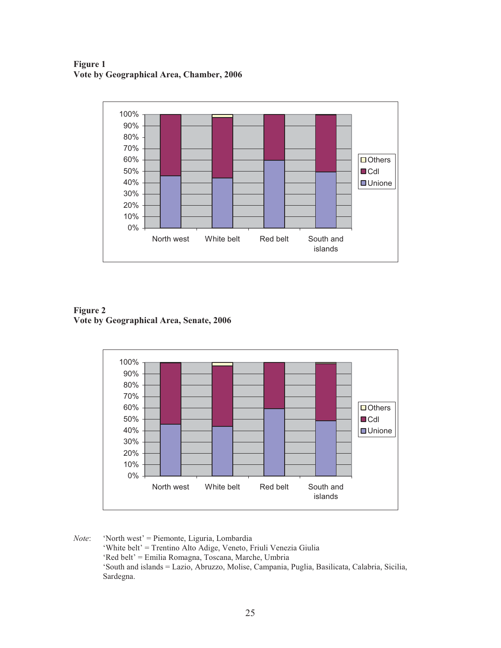**Figure 1 Vote by Geographical Area, Chamber, 2006** 



**Figure 2 Vote by Geographical Area, Senate, 2006** 



*Note*: 'North west' = Piemonte, Liguria, Lombardia 'White belt' = Trentino Alto Adige, Veneto, Friuli Venezia Giulia 'Red belt' = Emilia Romagna, Toscana, Marche, Umbria 'South and islands = Lazio, Abruzzo, Molise, Campania, Puglia, Basilicata, Calabria, Sicilia, Sardegna.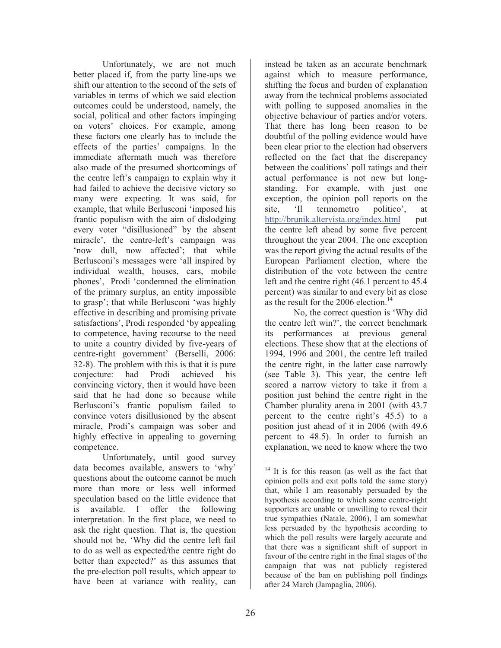Unfortunately, we are not much better placed if, from the party line-ups we shift our attention to the second of the sets of variables in terms of which we said election outcomes could be understood, namely, the social, political and other factors impinging on voters' choices. For example, among these factors one clearly has to include the effects of the parties' campaigns. In the immediate aftermath much was therefore also made of the presumed shortcomings of the centre left's campaign to explain why it had failed to achieve the decisive victory so many were expecting. It was said, for example, that while Berlusconi 'imposed his frantic populism with the aim of dislodging every voter "disillusioned" by the absent miracle', the centre-left's campaign was 'now dull, now affected'; that while Berlusconi's messages were 'all inspired by individual wealth, houses, cars, mobile phones', Prodi 'condemned the elimination of the primary surplus, an entity impossible to grasp'; that while Berlusconi 'was highly effective in describing and promising private satisfactions', Prodi responded 'by appealing to competence, having recourse to the need to unite a country divided by five-years of centre-right government' (Berselli, 2006: 32-8). The problem with this is that it is pure conjecture: had Prodi achieved his convincing victory, then it would have been said that he had done so because while Berlusconi's frantic populism failed to convince voters disillusioned by the absent miracle, Prodi's campaign was sober and highly effective in appealing to governing competence.

Unfortunately, until good survey data becomes available, answers to 'why' questions about the outcome cannot be much more than more or less well informed speculation based on the little evidence that is available. I offer the following interpretation. In the first place, we need to ask the right question. That is, the question should not be, 'Why did the centre left fail to do as well as expected/the centre right do better than expected?' as this assumes that the pre-election poll results, which appear to have been at variance with reality, can

instead be taken as an accurate benchmark against which to measure performance, shifting the focus and burden of explanation away from the technical problems associated with polling to supposed anomalies in the objective behaviour of parties and/or voters. That there has long been reason to be doubtful of the polling evidence would have been clear prior to the election had observers reflected on the fact that the discrepancy between the coalitions' poll ratings and their actual performance is not new but longstanding. For example, with just one exception, the opinion poll reports on the site, 'Il termometro politico', at http://brunik.altervista.org/index.html put the centre left ahead by some five percent throughout the year 2004. The one exception was the report giving the actual results of the European Parliament election, where the distribution of the vote between the centre left and the centre right (46.1 percent to 45.4 percent) was similar to and every bit as close as the result for the 2006 election.<sup>14</sup>

No, the correct question is 'Why did the centre left win?', the correct benchmark its performances at previous general elections. These show that at the elections of 1994, 1996 and 2001, the centre left trailed the centre right, in the latter case narrowly (see Table 3). This year, the centre left scored a narrow victory to take it from a position just behind the centre right in the Chamber plurality arena in 2001 (with 43.7 percent to the centre right's 45.5) to a position just ahead of it in 2006 (with 49.6 percent to 48.5). In order to furnish an explanation, we need to know where the two

 $\overline{a}$  $14$  It is for this reason (as well as the fact that opinion polls and exit polls told the same story) that, while I am reasonably persuaded by the hypothesis according to which some centre-right supporters are unable or unwilling to reveal their true sympathies (Natale, 2006), I am somewhat less persuaded by the hypothesis according to which the poll results were largely accurate and that there was a significant shift of support in favour of the centre right in the final stages of the campaign that was not publicly registered because of the ban on publishing poll findings after 24 March (Jampaglia, 2006).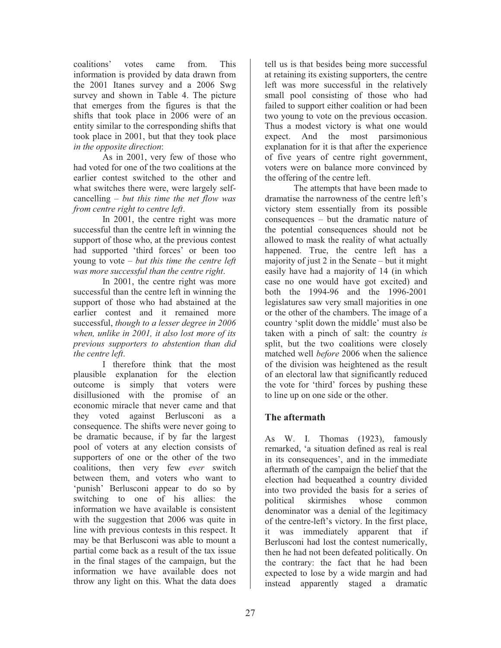coalitions' votes came from. This information is provided by data drawn from the 2001 Itanes survey and a 2006 Swg survey and shown in Table 4. The picture that emerges from the figures is that the shifts that took place in 2006 were of an entity similar to the corresponding shifts that took place in 2001, but that they took place *in the opposite direction*:

As in 2001, very few of those who had voted for one of the two coalitions at the earlier contest switched to the other and what switches there were, were largely selfcancelling – *but this time the net flow was from centre right to centre left*.

In 2001, the centre right was more successful than the centre left in winning the support of those who, at the previous contest had supported 'third forces' or been too young to vote – *but this time the centre left was more successful than the centre right*.

In 2001, the centre right was more successful than the centre left in winning the support of those who had abstained at the earlier contest and it remained more successful, *though to a lesser degree in 2006 when, unlike in 2001, it also lost more of its previous supporters to abstention than did the centre left*.

I therefore think that the most plausible explanation for the election outcome is simply that voters were disillusioned with the promise of an economic miracle that never came and that they voted against Berlusconi as a consequence. The shifts were never going to be dramatic because, if by far the largest pool of voters at any election consists of supporters of one or the other of the two coalitions, then very few *ever* switch between them, and voters who want to 'punish' Berlusconi appear to do so by switching to one of his allies: the information we have available is consistent with the suggestion that 2006 was quite in line with previous contests in this respect. It may be that Berlusconi was able to mount a partial come back as a result of the tax issue in the final stages of the campaign, but the information we have available does not throw any light on this. What the data does

tell us is that besides being more successful at retaining its existing supporters, the centre left was more successful in the relatively small pool consisting of those who had failed to support either coalition or had been two young to vote on the previous occasion. Thus a modest victory is what one would expect. And the most parsimonious explanation for it is that after the experience of five years of centre right government, voters were on balance more convinced by the offering of the centre left.

The attempts that have been made to dramatise the narrowness of the centre left's victory stem essentially from its possible consequences – but the dramatic nature of the potential consequences should not be allowed to mask the reality of what actually happened. True, the centre left has a majority of just 2 in the Senate – but it might easily have had a majority of 14 (in which case no one would have got excited) and both the 1994-96 and the 1996-2001 legislatures saw very small majorities in one or the other of the chambers. The image of a country 'split down the middle' must also be taken with a pinch of salt: the country *is* split, but the two coalitions were closely matched well *before* 2006 when the salience of the division was heightened as the result of an electoral law that significantly reduced the vote for 'third' forces by pushing these to line up on one side or the other.

## **The aftermath**

As W. I. Thomas (1923), famously remarked, 'a situation defined as real is real in its consequences', and in the immediate aftermath of the campaign the belief that the election had bequeathed a country divided into two provided the basis for a series of political skirmishes whose common denominator was a denial of the legitimacy of the centre-left's victory. In the first place, it was immediately apparent that if Berlusconi had lost the contest numerically, then he had not been defeated politically. On the contrary: the fact that he had been expected to lose by a wide margin and had instead apparently staged a dramatic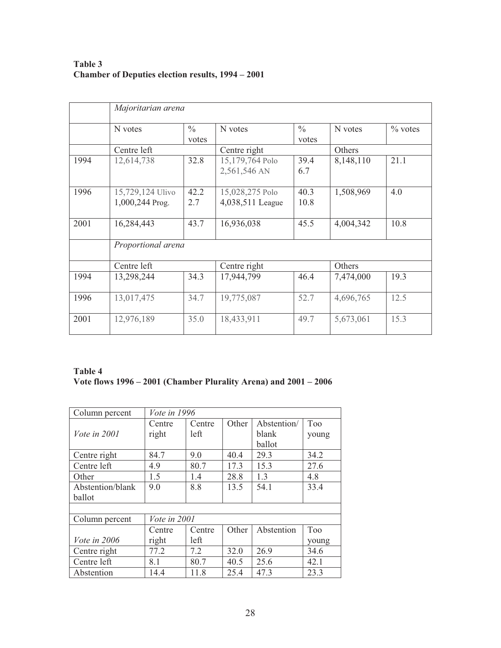## **Table 3 Chamber of Deputies election results, 1994 – 2001**

|      | Majoritarian arena                  |                        |                                     |                        |           |            |  |  |
|------|-------------------------------------|------------------------|-------------------------------------|------------------------|-----------|------------|--|--|
|      | N votes                             | $\frac{0}{0}$<br>votes | N votes                             | $\frac{0}{0}$<br>votes | N votes   | $\%$ votes |  |  |
|      | Centre left                         |                        | Centre right                        |                        | Others    |            |  |  |
| 1994 | 12,614,738                          | 32.8                   | 15,179,764 Polo<br>2,561,546 AN     | 39.4<br>6.7            | 8,148,110 | 21.1       |  |  |
| 1996 | 15,729,124 Ulivo<br>1,000,244 Prog. | 42.2<br>2.7            | 15,028,275 Polo<br>4,038,511 League | 40.3<br>10.8           | 1,508,969 | 4.0        |  |  |
| 2001 | 16,284,443                          | 43.7                   | 16,936,038                          | 45.5                   | 4,004,342 | 10.8       |  |  |
|      | Proportional arena                  |                        |                                     |                        |           |            |  |  |
|      | Centre left                         |                        | Centre right                        |                        | Others    |            |  |  |
| 1994 | 13,298,244                          | 34.3                   | 17,944,799                          | 46.4                   | 7,474,000 | 19.3       |  |  |
| 1996 | 13,017,475                          | 34.7                   | 19,775,087                          | 52.7                   | 4,696,765 | 12.5       |  |  |
| 2001 | 12,976,189                          | 35.0                   | 18,433,911                          | 49.7                   | 5,673,061 | 15.3       |  |  |

## **Table 4 Vote flows 1996 – 2001 (Chamber Plurality Arena) and 2001 – 2006**

| Column percent      | <i>Vote in 1996</i> |        |       |             |       |  |
|---------------------|---------------------|--------|-------|-------------|-------|--|
|                     | Centre              | Centre | Other | Abstention/ | Too   |  |
| <i>Vote in 2001</i> | right               | left   |       | blank       | young |  |
|                     |                     |        |       | ballot      |       |  |
| Centre right        | 84.7                | 9.0    | 40.4  | 29.3        | 34.2  |  |
| Centre left         | 4.9                 | 80.7   | 17.3  | 15.3        | 27.6  |  |
| Other               | 1.5                 | 1.4    | 28.8  | 1.3         | 4.8   |  |
| Abstention/blank    | 9.0                 | 8.8    | 13.5  | 54.1        | 33.4  |  |
| ballot              |                     |        |       |             |       |  |
|                     |                     |        |       |             |       |  |
| Column percent      | Vote in 2001        |        |       |             |       |  |
|                     | Centre              | Centre | Other | Abstention  | Too   |  |
| <i>Vote in 2006</i> | right               | left   |       |             | young |  |
| Centre right        | 77.2                | 7.2    | 32.0  | 26.9        | 34.6  |  |
| Centre left         | 8.1                 | 80.7   | 40.5  | 25.6        | 42.1  |  |
| Abstention          | 14.4                | 11.8   | 25.4  | 47.3        | 23.3  |  |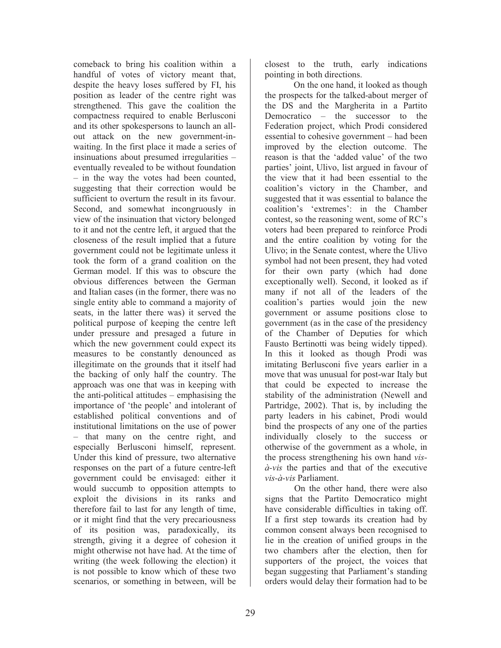comeback to bring his coalition within a handful of votes of victory meant that, despite the heavy loses suffered by FI, his position as leader of the centre right was strengthened. This gave the coalition the compactness required to enable Berlusconi and its other spokespersons to launch an allout attack on the new government-inwaiting. In the first place it made a series of insinuations about presumed irregularities – eventually revealed to be without foundation – in the way the votes had been counted, suggesting that their correction would be sufficient to overturn the result in its favour. Second, and somewhat incongruously in view of the insinuation that victory belonged to it and not the centre left, it argued that the closeness of the result implied that a future government could not be legitimate unless it took the form of a grand coalition on the German model. If this was to obscure the obvious differences between the German and Italian cases (in the former, there was no single entity able to command a majority of seats, in the latter there was) it served the political purpose of keeping the centre left under pressure and presaged a future in which the new government could expect its measures to be constantly denounced as illegitimate on the grounds that it itself had the backing of only half the country. The approach was one that was in keeping with the anti-political attitudes – emphasising the importance of 'the people' and intolerant of established political conventions and of institutional limitations on the use of power – that many on the centre right, and especially Berlusconi himself, represent. Under this kind of pressure, two alternative responses on the part of a future centre-left government could be envisaged: either it would succumb to opposition attempts to exploit the divisions in its ranks and therefore fail to last for any length of time, or it might find that the very precariousness of its position was, paradoxically, its strength, giving it a degree of cohesion it might otherwise not have had. At the time of writing (the week following the election) it is not possible to know which of these two scenarios, or something in between, will be

closest to the truth, early indications pointing in both directions.

On the one hand, it looked as though the prospects for the talked-about merger of the DS and the Margherita in a Partito Democratico – the successor to the Federation project, which Prodi considered essential to cohesive government – had been improved by the election outcome. The reason is that the 'added value' of the two parties' joint, Ulivo, list argued in favour of the view that it had been essential to the coalition's victory in the Chamber, and suggested that it was essential to balance the coalition's 'extremes': in the Chamber contest, so the reasoning went, some of RC's voters had been prepared to reinforce Prodi and the entire coalition by voting for the Ulivo; in the Senate contest, where the Ulivo symbol had not been present, they had voted for their own party (which had done exceptionally well). Second, it looked as if many if not all of the leaders of the coalition's parties would join the new government or assume positions close to government (as in the case of the presidency of the Chamber of Deputies for which Fausto Bertinotti was being widely tipped). In this it looked as though Prodi was imitating Berlusconi five years earlier in a move that was unusual for post-war Italy but that could be expected to increase the stability of the administration (Newell and Partridge, 2002). That is, by including the party leaders in his cabinet, Prodi would bind the prospects of any one of the parties individually closely to the success or otherwise of the government as a whole, in the process strengthening his own hand *visà-vis* the parties and that of the executive *vis-à-vis* Parliament.

 On the other hand, there were also signs that the Partito Democratico might have considerable difficulties in taking off. If a first step towards its creation had by common consent always been recognised to lie in the creation of unified groups in the two chambers after the election, then for supporters of the project, the voices that began suggesting that Parliament's standing orders would delay their formation had to be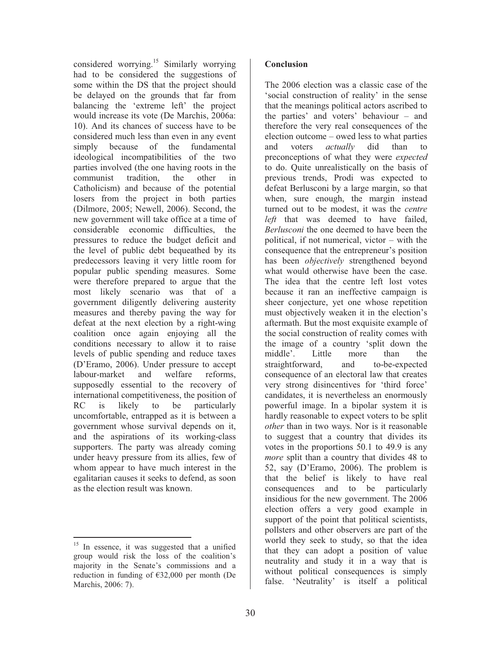considered worrying.<sup>15</sup> Similarly worrying had to be considered the suggestions of some within the DS that the project should be delayed on the grounds that far from balancing the 'extreme left' the project would increase its vote (De Marchis, 2006a: 10). And its chances of success have to be considered much less than even in any event simply because of the fundamental ideological incompatibilities of the two parties involved (the one having roots in the communist tradition, the other in Catholicism) and because of the potential losers from the project in both parties (Dilmore, 2005; Newell, 2006). Second, the new government will take office at a time of considerable economic difficulties, the pressures to reduce the budget deficit and the level of public debt bequeathed by its predecessors leaving it very little room for popular public spending measures. Some were therefore prepared to argue that the most likely scenario was that of a government diligently delivering austerity measures and thereby paving the way for defeat at the next election by a right-wing coalition once again enjoying all the conditions necessary to allow it to raise levels of public spending and reduce taxes (D'Eramo, 2006). Under pressure to accept labour-market and welfare reforms, supposedly essential to the recovery of international competitiveness, the position of RC is likely to be particularly uncomfortable, entrapped as it is between a government whose survival depends on it, and the aspirations of its working-class supporters. The party was already coming under heavy pressure from its allies, few of whom appear to have much interest in the egalitarian causes it seeks to defend, as soon as the election result was known.

The 2006 election was a classic case of the 'social construction of reality' in the sense that the meanings political actors ascribed to the parties' and voters' behaviour – and therefore the very real consequences of the election outcome – owed less to what parties and voters *actually* did than to preconceptions of what they were *expected* to do. Quite unrealistically on the basis of previous trends, Prodi was expected to defeat Berlusconi by a large margin, so that when, sure enough, the margin instead turned out to be modest, it was the *centre left* that was deemed to have failed, *Berlusconi* the one deemed to have been the political, if not numerical, victor – with the consequence that the entrepreneur's position has been *objectively* strengthened beyond what would otherwise have been the case. The idea that the centre left lost votes because it ran an ineffective campaign is sheer conjecture, yet one whose repetition must objectively weaken it in the election's aftermath. But the most exquisite example of the social construction of reality comes with the image of a country 'split down the middle'. Little more than the straightforward, and to-be-expected consequence of an electoral law that creates very strong disincentives for 'third force' candidates, it is nevertheless an enormously powerful image. In a bipolar system it is hardly reasonable to expect voters to be split *other* than in two ways. Nor is it reasonable to suggest that a country that divides its votes in the proportions 50.1 to 49.9 is any *more* split than a country that divides 48 to 52, say (D'Eramo, 2006). The problem is that the belief is likely to have real consequences and to be particularly insidious for the new government. The 2006 election offers a very good example in support of the point that political scientists, pollsters and other observers are part of the world they seek to study, so that the idea that they can adopt a position of value neutrality and study it in a way that is without political consequences is simply false. 'Neutrality' is itself a political

 $\overline{a}$ <sup>15</sup> In essence, it was suggested that a unified group would risk the loss of the coalition's majority in the Senate's commissions and a reduction in funding of €32,000 per month (De Marchis, 2006: 7).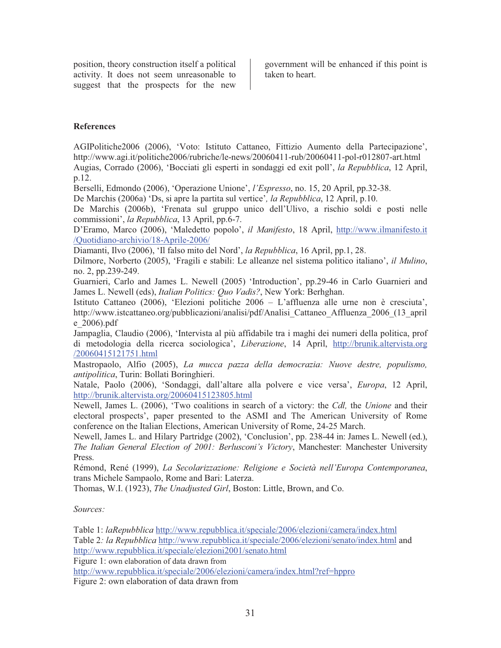position, theory construction itself a political activity. It does not seem unreasonable to suggest that the prospects for the new

government will be enhanced if this point is taken to heart.

#### **References**

AGIPolitiche2006 (2006), 'Voto: Istituto Cattaneo, Fittizio Aumento della Partecipazione', http://www.agi.it/politiche2006/rubriche/le-news/20060411-rub/20060411-pol-r012807-art.html Augias, Corrado (2006), 'Bocciati gli esperti in sondaggi ed exit poll', *la Repubblica*, 12 April, p.12.

Berselli, Edmondo (2006), 'Operazione Unione', *l'Espresso*, no. 15, 20 April, pp.32-38.

De Marchis (2006a) 'Ds, si apre la partita sul vertice'*, la Repubblica*, 12 April, p.10.

De Marchis (2006b), 'Frenata sul gruppo unico dell'Ulivo, a rischio soldi e posti nelle commissioni', *la Repubblica*, 13 April, pp.6-7.

D'Eramo, Marco (2006), 'Maledetto popolo', *il Manifesto*, 18 April, http://www.ilmanifesto.it /Quotidiano-archivio/18-Aprile-2006/

Diamanti, Ilvo (2006), 'Il falso mito del Nord', *la Repubblica*, 16 April, pp.1, 28.

Dilmore, Norberto (2005), 'Fragili e stabili: Le alleanze nel sistema politico italiano', *il Mulino*, no. 2, pp.239-249.

Guarnieri, Carlo and James L. Newell (2005) 'Introduction', pp.29-46 in Carlo Guarnieri and James L. Newell (eds), *Italian Politics: Quo Vadis?*, New York: Berhghan.

Istituto Cattaneo (2006), 'Elezioni politiche 2006 – L'affluenza alle urne non è cresciuta', http://www.istcattaneo.org/pubblicazioni/analisi/pdf/Analisi\_Cattaneo\_Affluenza\_2006\_(13\_april e\_2006).pdf

Jampaglia, Claudio (2006), 'Intervista al più affidabile tra i maghi dei numeri della politica, prof di metodologia della ricerca sociologica', *Liberazione*, 14 April, http://brunik.altervista.org /20060415121751.html

Mastropaolo, Alfio (2005), *La mucca pazza della democrazia: Nuove destre, populismo, antipolitica*, Turin: Bollati Boringhieri.

Natale, Paolo (2006), 'Sondaggi, dall'altare alla polvere e vice versa', *Europa*, 12 April, http://brunik.altervista.org/20060415123805.html

Newell, James L. (2006), 'Two coalitions in search of a victory: the *Cdl,* the *Unione* and their electoral prospects', paper presented to the ASMI and The American University of Rome conference on the Italian Elections, American University of Rome, 24-25 March.

Newell, James L. and Hilary Partridge (2002), 'Conclusion', pp. 238-44 in: James L. Newell (ed.), *The Italian General Election of 2001: Berlusconi's Victory*, Manchester: Manchester University Press.

Rémond, René (1999), *La Secolarizzazione: Religione e Società nell'Europa Contemporanea*, trans Michele Sampaolo, Rome and Bari: Laterza.

Thomas, W.I. (1923), *The Unadjusted Girl*, Boston: Little, Brown, and Co.

*Sources:* 

Table 1: *laRepubblica* http://www.repubblica.it/speciale/2006/elezioni/camera/index.html Table 2*: la Repubblica* http://www.repubblica.it/speciale/2006/elezioni/senato/index.html and http://www.repubblica.it/speciale/elezioni2001/senato.html

Figure 1: own elaboration of data drawn from

http://www.repubblica.it/speciale/2006/elezioni/camera/index.html?ref=hppro Figure 2: own elaboration of data drawn from